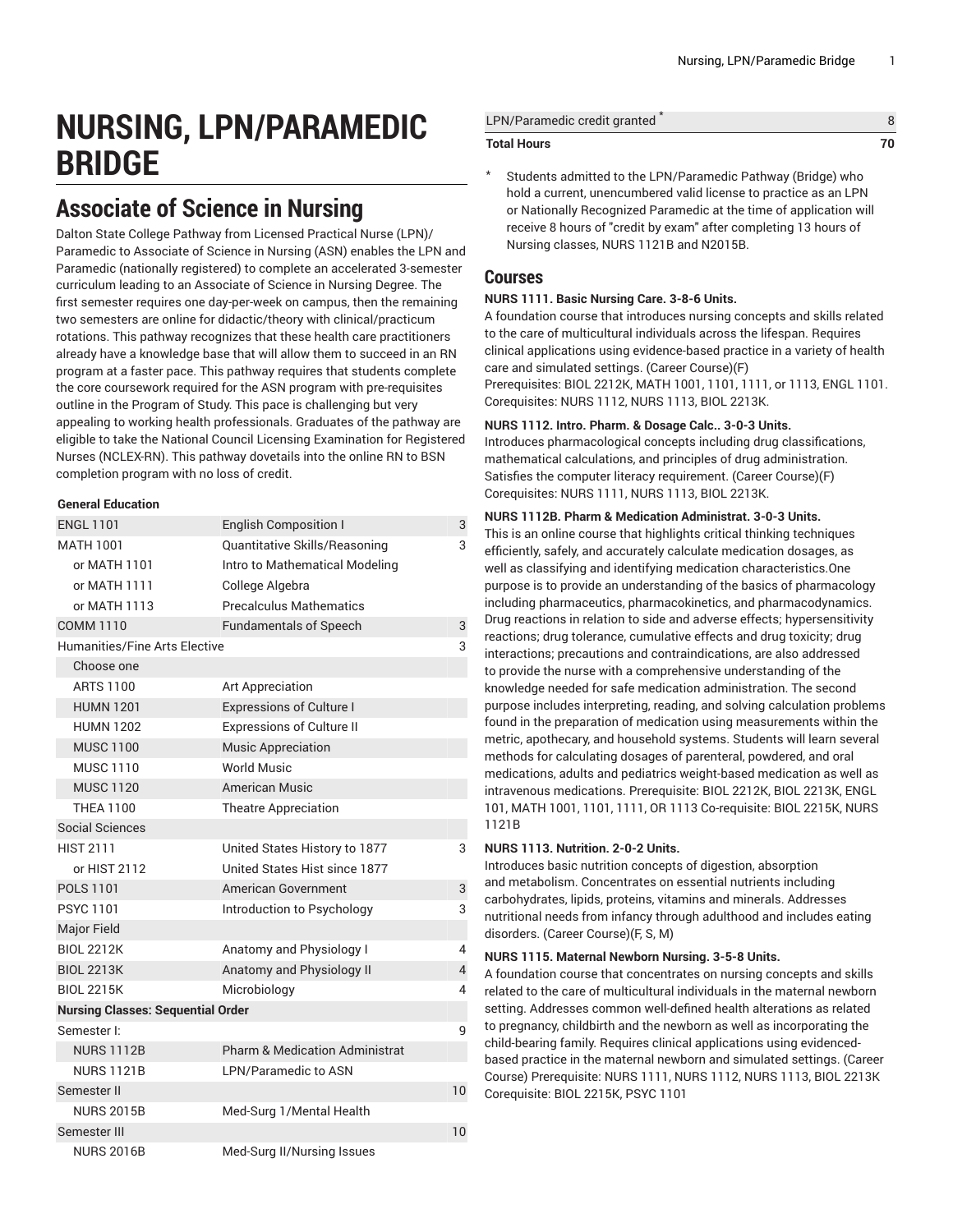# **NURSING, LPN/PARAMEDIC BRIDGE**

# **Associate of Science in Nursing**

Dalton State College Pathway from Licensed Practical Nurse (LPN)/ Paramedic to Associate of Science in Nursing (ASN) enables the LPN and Paramedic (nationally registered) to complete an accelerated 3-semester curriculum leading to an Associate of Science in Nursing Degree. The first semester requires one day-per-week on campus, then the remaining two semesters are online for didactic/theory with clinical/practicum rotations. This pathway recognizes that these health care practitioners already have a knowledge base that will allow them to succeed in an RN program at a faster pace. This pathway requires that students complete the core coursework required for the ASN program with pre-requisites outline in the Program of Study. This pace is challenging but very appealing to working health professionals. Graduates of the pathway are eligible to take the National Council Licensing Examination for Registered Nurses (NCLEX-RN). This pathway dovetails into the online RN to BSN completion program with no loss of credit.

# **General Education**

| <b>ENGL 1101</b>                         | <b>English Composition I</b>              | 3              |
|------------------------------------------|-------------------------------------------|----------------|
| MATH 1001                                | Quantitative Skills/Reasoning             | 3              |
| or MATH 1101                             | Intro to Mathematical Modeling            |                |
| or MATH 1111                             | College Algebra                           |                |
| or MATH 1113                             | <b>Precalculus Mathematics</b>            |                |
| <b>COMM 1110</b>                         | <b>Fundamentals of Speech</b>             | 3              |
| Humanities/Fine Arts Elective            |                                           | 3              |
| Choose one                               |                                           |                |
| <b>ARTS 1100</b>                         | Art Appreciation                          |                |
| <b>HUMN 1201</b>                         | <b>Expressions of Culture I</b>           |                |
| <b>HUMN 1202</b>                         | <b>Expressions of Culture II</b>          |                |
| <b>MUSC 1100</b>                         | <b>Music Appreciation</b>                 |                |
| <b>MUSC 1110</b>                         | <b>World Music</b>                        |                |
| <b>MUSC 1120</b>                         | American Music                            |                |
| <b>THEA 1100</b>                         | <b>Theatre Appreciation</b>               |                |
| <b>Social Sciences</b>                   |                                           |                |
| <b>HIST 2111</b>                         | United States History to 1877             | 3              |
| or HIST 2112                             | United States Hist since 1877             |                |
| <b>POLS 1101</b>                         | American Government                       | 3              |
| <b>PSYC 1101</b>                         | Introduction to Psychology                | 3              |
| Major Field                              |                                           |                |
| <b>BIOL 2212K</b>                        | Anatomy and Physiology I                  | 4              |
| <b>BIOL 2213K</b>                        | Anatomy and Physiology II                 | $\overline{4}$ |
| <b>BIOL 2215K</b>                        | Microbiology                              | 4              |
| <b>Nursing Classes: Sequential Order</b> |                                           |                |
| Semester I:                              |                                           | 9              |
| <b>NURS 1112B</b>                        | <b>Pharm &amp; Medication Administrat</b> |                |
| <b>NURS 1121B</b>                        | <b>LPN/Paramedic to ASN</b>               |                |
| Semester II                              |                                           | 10             |
| <b>NURS 2015B</b>                        | Med-Surg 1/Mental Health                  |                |
| Semester III                             |                                           | 10             |
| <b>NURS 2016B</b>                        | Med-Surg II/Nursing Issues                |                |

| LPN/Paramedic credit granted |  |
|------------------------------|--|
| <b>Total Hours</b>           |  |

Students admitted to the LPN/Paramedic Pathway (Bridge) who hold a current, unencumbered valid license to practice as an LPN or Nationally Recognized Paramedic at the time of application will receive 8 hours of "credit by exam" after completing 13 hours of Nursing classes, NURS 1121B and N2015B.

# **Courses**

# **NURS 1111. Basic Nursing Care. 3-8-6 Units.**

A foundation course that introduces nursing concepts and skills related to the care of multicultural individuals across the lifespan. Requires clinical applications using evidence-based practice in a variety of health care and simulated settings. (Career Course)(F) Prerequisites: [BIOL 2212K,](/search/?P=BIOL%202212K) [MATH](/search/?P=MATH%201001) 1001, 1101, 1111, or 1113, [ENGL 1101.](/search/?P=ENGL%201101) Corequisites: [NURS 1112,](/search/?P=NURS%201112) [NURS 1113,](/search/?P=NURS%201113) [BIOL 2213K](/search/?P=BIOL%202213K).

# **NURS 1112. Intro. Pharm. & Dosage Calc.. 3-0-3 Units.**

Introduces pharmacological concepts including drug classifications, mathematical calculations, and principles of drug administration. Satisfies the computer literacy requirement. (Career Course)(F) Corequisites: [NURS 1111,](/search/?P=NURS%201111) [NURS 1113,](/search/?P=NURS%201113) [BIOL 2213K](/search/?P=BIOL%202213K).

# **NURS 1112B. Pharm & Medication Administrat. 3-0-3 Units.**

This is an online course that highlights critical thinking techniques efficiently, safely, and accurately calculate medication dosages, as well as classifying and identifying medication characteristics.One purpose is to provide an understanding of the basics of pharmacology including pharmaceutics, pharmacokinetics, and pharmacodynamics. Drug reactions in relation to side and adverse effects; hypersensitivity reactions; drug tolerance, cumulative effects and drug toxicity; drug interactions; precautions and contraindications, are also addressed to provide the nurse with a comprehensive understanding of the knowledge needed for safe medication administration. The second purpose includes interpreting, reading, and solving calculation problems found in the preparation of medication using measurements within the metric, apothecary, and household systems. Students will learn several methods for calculating dosages of parenteral, powdered, and oral medications, adults and pediatrics weight-based medication as well as intravenous medications. Prerequisite: [BIOL 2212K,](/search/?P=BIOL%202212K) [BIOL 2213K,](/search/?P=BIOL%202213K) ENGL 101, [MATH](/search/?P=MATH%201001) 1001, 1101, 1111, OR 1113 Co-requisite: [BIOL 2215K,](/search/?P=BIOL%202215K) NURS 1121B

# **NURS 1113. Nutrition. 2-0-2 Units.**

Introduces basic nutrition concepts of digestion, absorption and metabolism. Concentrates on essential nutrients including carbohydrates, lipids, proteins, vitamins and minerals. Addresses nutritional needs from infancy through adulthood and includes eating disorders. (Career Course)(F, S, M)

# **NURS 1115. Maternal Newborn Nursing. 3-5-8 Units.**

A foundation course that concentrates on nursing concepts and skills related to the care of multicultural individuals in the maternal newborn setting. Addresses common well-defined health alterations as related to pregnancy, childbirth and the newborn as well as incorporating the child-bearing family. Requires clinical applications using evidencedbased practice in the maternal newborn and simulated settings. (Career Course) Prerequisite: [NURS 1111,](/search/?P=NURS%201111) [NURS 1112,](/search/?P=NURS%201112) [NURS 1113,](/search/?P=NURS%201113) [BIOL 2213K](/search/?P=BIOL%202213K) Corequisite: [BIOL 2215K](/search/?P=BIOL%202215K), [PSYC](/search/?P=PSYC%201101) 1101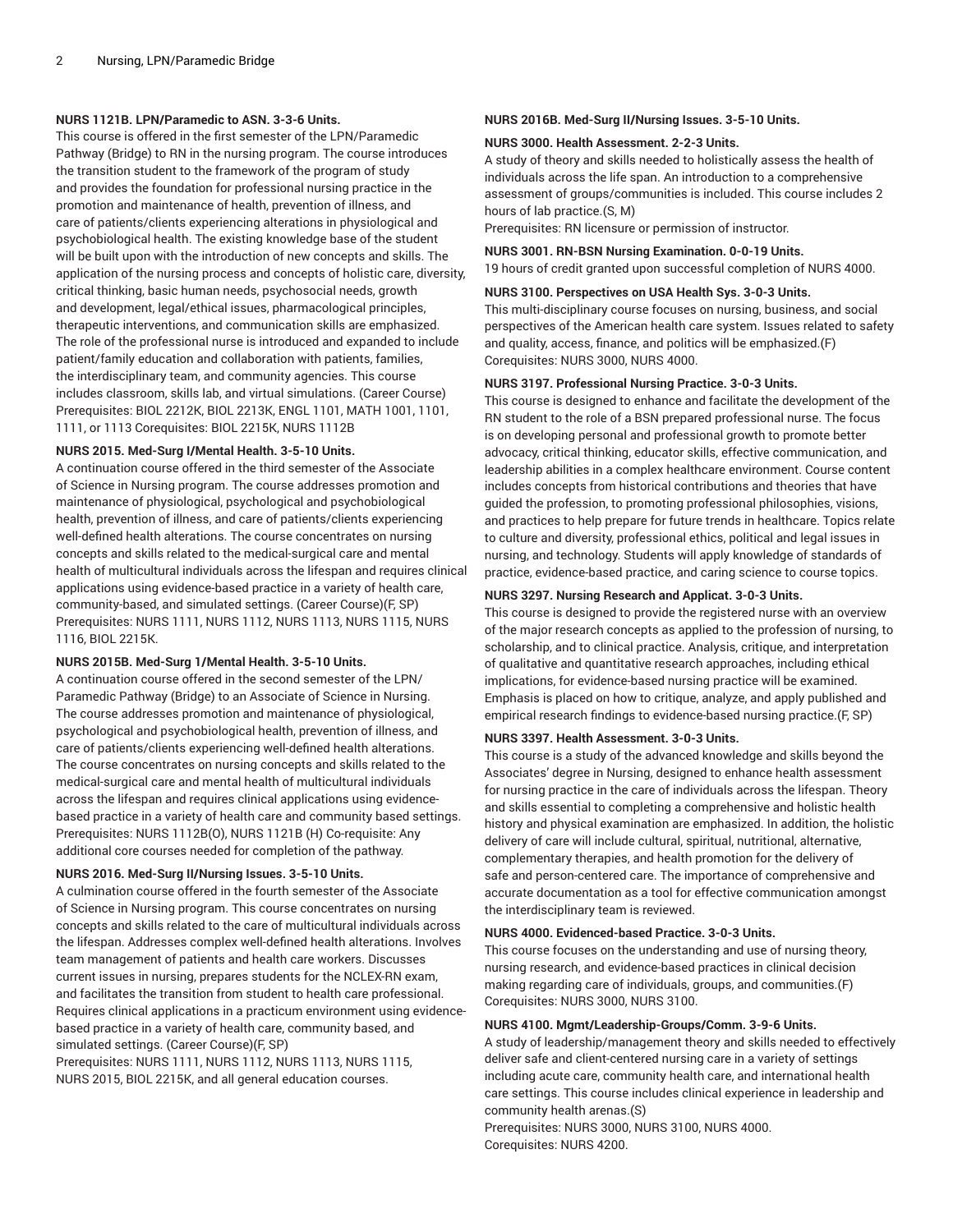#### **NURS 1121B. LPN/Paramedic to ASN. 3-3-6 Units.**

This course is offered in the first semester of the LPN/Paramedic Pathway (Bridge) to RN in the nursing program. The course introduces the transition student to the framework of the program of study and provides the foundation for professional nursing practice in the promotion and maintenance of health, prevention of illness, and care of patients/clients experiencing alterations in physiological and psychobiological health. The existing knowledge base of the student will be built upon with the introduction of new concepts and skills. The application of the nursing process and concepts of holistic care, diversity, critical thinking, basic human needs, psychosocial needs, growth and development, legal/ethical issues, pharmacological principles, therapeutic interventions, and communication skills are emphasized. The role of the professional nurse is introduced and expanded to include patient/family education and collaboration with patients, families, the interdisciplinary team, and community agencies. This course includes classroom, skills lab, and virtual simulations. (Career Course) Prerequisites: [BIOL 2212K,](/search/?P=BIOL%202212K) [BIOL 2213K](/search/?P=BIOL%202213K), [ENGL 1101](/search/?P=ENGL%201101), [MATH](/search/?P=MATH%201001) 1001, 1101, 1111, or 1113 Corequisites: [BIOL 2215K,](/search/?P=BIOL%202215K) NURS 1112B

#### **NURS 2015. Med-Surg I/Mental Health. 3-5-10 Units.**

A continuation course offered in the third semester of the Associate of Science in Nursing program. The course addresses promotion and maintenance of physiological, psychological and psychobiological health, prevention of illness, and care of patients/clients experiencing well-defined health alterations. The course concentrates on nursing concepts and skills related to the medical-surgical care and mental health of multicultural individuals across the lifespan and requires clinical applications using evidence-based practice in a variety of health care, community-based, and simulated settings. (Career Course)(F, SP) Prerequisites: [NURS 1111,](/search/?P=NURS%201111) [NURS 1112,](/search/?P=NURS%201112) [NURS 1113,](/search/?P=NURS%201113) [NURS 1115](/search/?P=NURS%201115), NURS 1116, [BIOL 2215K.](/search/?P=BIOL%202215K)

# **NURS 2015B. Med-Surg 1/Mental Health. 3-5-10 Units.**

A continuation course offered in the second semester of the LPN/ Paramedic Pathway (Bridge) to an Associate of Science in Nursing. The course addresses promotion and maintenance of physiological, psychological and psychobiological health, prevention of illness, and care of patients/clients experiencing well-defined health alterations. The course concentrates on nursing concepts and skills related to the medical-surgical care and mental health of multicultural individuals across the lifespan and requires clinical applications using evidencebased practice in a variety of health care and community based settings. Prerequisites: NURS 1112B(O), NURS 1121B (H) Co-requisite: Any additional core courses needed for completion of the pathway.

#### **NURS 2016. Med-Surg II/Nursing Issues. 3-5-10 Units.**

A culmination course offered in the fourth semester of the Associate of Science in Nursing program. This course concentrates on nursing concepts and skills related to the care of multicultural individuals across the lifespan. Addresses complex well-defined health alterations. Involves team management of patients and health care workers. Discusses current issues in nursing, prepares students for the NCLEX-RN exam, and facilitates the transition from student to health care professional. Requires clinical applications in a practicum environment using evidencebased practice in a variety of health care, community based, and simulated settings. (Career Course)(F, SP)

Prerequisites: [NURS 1111,](/search/?P=NURS%201111) [NURS 1112,](/search/?P=NURS%201112) [NURS 1113,](/search/?P=NURS%201113) [NURS 1115](/search/?P=NURS%201115), [NURS 2015](/search/?P=NURS%202015), [BIOL 2215K](/search/?P=BIOL%202215K), and all general education courses.

# **NURS 2016B. Med-Surg II/Nursing Issues. 3-5-10 Units.**

#### **NURS 3000. Health Assessment. 2-2-3 Units.**

A study of theory and skills needed to holistically assess the health of individuals across the life span. An introduction to a comprehensive assessment of groups/communities is included. This course includes 2 hours of lab practice.(S, M)

Prerequisites: RN licensure or permission of instructor.

# **NURS 3001. RN-BSN Nursing Examination. 0-0-19 Units.**

19 hours of credit granted upon successful completion of [NURS 4000.](/search/?P=NURS%204000)

# **NURS 3100. Perspectives on USA Health Sys. 3-0-3 Units.**

This multi-disciplinary course focuses on nursing, business, and social perspectives of the American health care system. Issues related to safety and quality, access, finance, and politics will be emphasized.(F) Corequisites: [NURS 3000,](/search/?P=NURS%203000) [NURS 4000.](/search/?P=NURS%204000)

# **NURS 3197. Professional Nursing Practice. 3-0-3 Units.**

This course is designed to enhance and facilitate the development of the RN student to the role of a BSN prepared professional nurse. The focus is on developing personal and professional growth to promote better advocacy, critical thinking, educator skills, effective communication, and leadership abilities in a complex healthcare environment. Course content includes concepts from historical contributions and theories that have guided the profession, to promoting professional philosophies, visions, and practices to help prepare for future trends in healthcare. Topics relate to culture and diversity, professional ethics, political and legal issues in nursing, and technology. Students will apply knowledge of standards of practice, evidence-based practice, and caring science to course topics.

#### **NURS 3297. Nursing Research and Applicat. 3-0-3 Units.**

This course is designed to provide the registered nurse with an overview of the major research concepts as applied to the profession of nursing, to scholarship, and to clinical practice. Analysis, critique, and interpretation of qualitative and quantitative research approaches, including ethical implications, for evidence-based nursing practice will be examined. Emphasis is placed on how to critique, analyze, and apply published and empirical research findings to evidence-based nursing practice.(F, SP)

#### **NURS 3397. Health Assessment. 3-0-3 Units.**

This course is a study of the advanced knowledge and skills beyond the Associates' degree in Nursing, designed to enhance health assessment for nursing practice in the care of individuals across the lifespan. Theory and skills essential to completing a comprehensive and holistic health history and physical examination are emphasized. In addition, the holistic delivery of care will include cultural, spiritual, nutritional, alternative, complementary therapies, and health promotion for the delivery of safe and person-centered care. The importance of comprehensive and accurate documentation as a tool for effective communication amongst the interdisciplinary team is reviewed.

# **NURS 4000. Evidenced-based Practice. 3-0-3 Units.**

This course focuses on the understanding and use of nursing theory, nursing research, and evidence-based practices in clinical decision making regarding care of individuals, groups, and communities.(F) Corequisites: [NURS 3000,](/search/?P=NURS%203000) [NURS 3100.](/search/?P=NURS%203100)

#### **NURS 4100. Mgmt/Leadership-Groups/Comm. 3-9-6 Units.**

A study of leadership/management theory and skills needed to effectively deliver safe and client-centered nursing care in a variety of settings including acute care, community health care, and international health care settings. This course includes clinical experience in leadership and community health arenas.(S)

Prerequisites: [NURS 3000](/search/?P=NURS%203000), [NURS 3100](/search/?P=NURS%203100), [NURS 4000](/search/?P=NURS%204000). Corequisites: [NURS 4200.](/search/?P=NURS%204200)